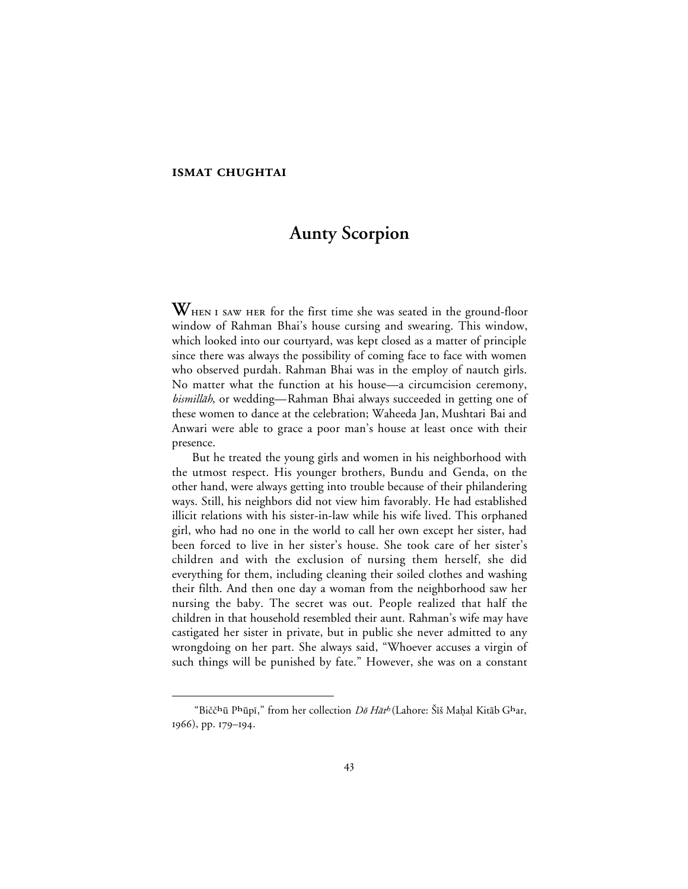## **ISMAT CHUGHTAI**

 $\overline{a}$ 

# **Aunty Scorpion**

WHEN I SAW HER for the first time she was seated in the ground-floor window of Rahman Bhai's house cursing and swearing. This window, which looked into our courtyard, was kept closed as a matter of principle since there was always the possibility of coming face to face with women who observed purdah. Rahman Bhai was in the employ of nautch girls. No matter what the function at his house—a circumcision ceremony, *bismillāh*, or wedding—Rahman Bhai always succeeded in getting one of these women to dance at the celebration; Waheeda Jan, Mushtari Bai and Anwari were able to grace a poor man's house at least once with their presence.

But he treated the young girls and women in his neighborhood with the utmost respect. His younger brothers, Bundu and Genda, on the other hand, were always getting into trouble because of their philandering ways. Still, his neighbors did not view him favorably. He had established illicit relations with his sister-in-law while his wife lived. This orphaned girl, who had no one in the world to call her own except her sister, had been forced to live in her sister's house. She took care of her sister's children and with the exclusion of nursing them herself, she did everything for them, including cleaning their soiled clothes and washing their filth. And then one day a woman from the neighborhood saw her nursing the baby. The secret was out. People realized that half the children in that household resembled their aunt. Rahman's wife may have castigated her sister in private, but in public she never admitted to any wrongdoing on her part. She always said, "Whoever accuses a virgin of such things will be punished by fate." However, she was on a constant

<sup>&</sup>quot;Bičč<sup>h</sup>ū P<sup>h</sup>ūpī," from her collection Dõ Hāt<sup>h</sup> (Lahore: Šīš Maḥal Kitāb G<sup>h</sup>ar, 1966), pp. 179-194.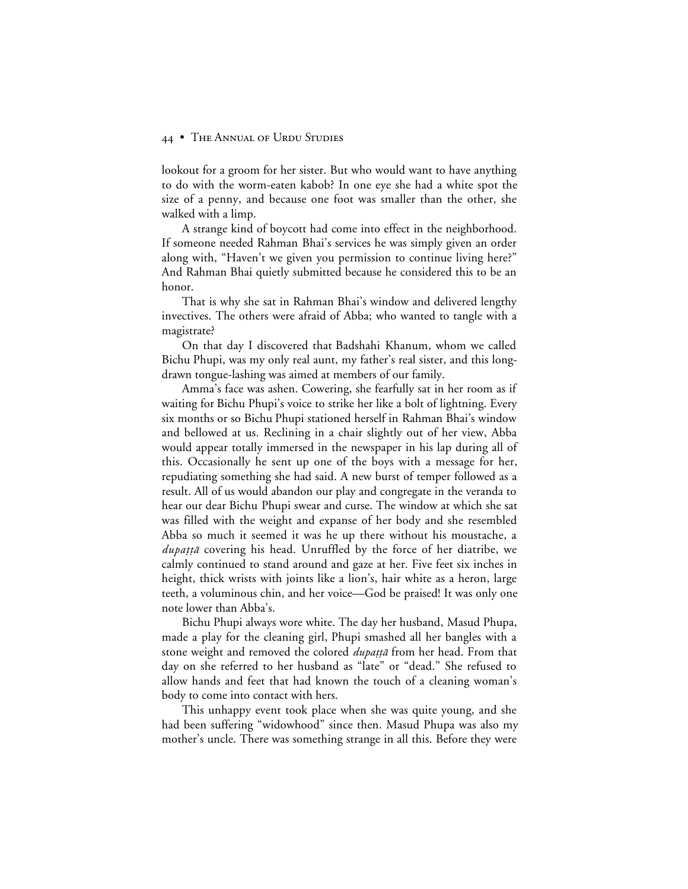lookout for a groom for her sister. But who would want to have anything to do with the worm-eaten kabob? In one eye she had a white spot the size of a penny, and because one foot was smaller than the other, she walked with a limp.

A strange kind of boycott had come into effect in the neighborhood. If someone needed Rahman Bhai's services he was simply given an order along with, "Haven't we given you permission to continue living here?" And Rahman Bhai quietly submitted because he considered this to be an honor.

That is why she sat in Rahman Bhai's window and delivered lengthy invectives. The others were afraid of Abba; who wanted to tangle with a magistrate?

On that day I discovered that Badshahi Khanum, whom we called Bichu Phupi, was my only real aunt, my father's real sister, and this longdrawn tongue-lashing was aimed at members of our family.

Amma's face was ashen. Cowering, she fearfully sat in her room as if waiting for Bichu Phupi's voice to strike her like a bolt of lightning. Every six months or so Bichu Phupi stationed herself in Rahman Bhai's window and bellowed at us. Reclining in a chair slightly out of her view, Abba would appear totally immersed in the newspaper in his lap during all of this. Occasionally he sent up one of the boys with a message for her, repudiating something she had said. A new burst of temper followed as a result. All of us would abandon our play and congregate in the veranda to hear our dear Bichu Phupi swear and curse. The window at which she sat was filled with the weight and expanse of her body and she resembled Abba so much it seemed it was he up there without his moustache, a *dupațță* covering his head. Unruffled by the force of her diatribe, we calmly continued to stand around and gaze at her. Five feet six inches in height, thick wrists with joints like a lion's, hair white as a heron, large teeth, a voluminous chin, and her voice—God be praised! It was only one note lower than Abba's.

Bichu Phupi always wore white. The day her husband, Masud Phupa, made a play for the cleaning girl, Phupi smashed all her bangles with a stone weight and removed the colored *dupatta* from her head. From that day on she referred to her husband as "late" or "dead." She refused to allow hands and feet that had known the touch of a cleaning woman's body to come into contact with hers.

This unhappy event took place when she was quite young, and she had been suffering "widowhood" since then. Masud Phupa was also my mother's uncle. There was something strange in all this. Before they were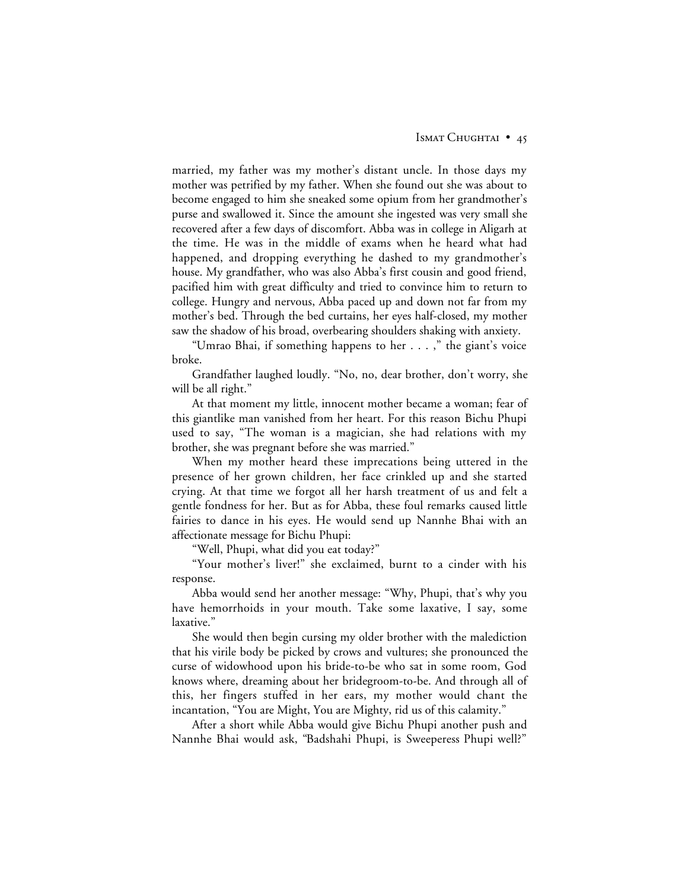married, my father was my mother's distant uncle. In those days my mother was petrified by my father. When she found out she was about to become engaged to him she sneaked some opium from her grandmother's purse and swallowed it. Since the amount she ingested was very small she recovered after a few days of discomfort. Abba was in college in Aligarh at the time. He was in the middle of exams when he heard what had happened, and dropping everything he dashed to my grandmother's house. My grandfather, who was also Abba's first cousin and good friend, pacified him with great difficulty and tried to convince him to return to college. Hungry and nervous, Abba paced up and down not far from my mother's bed. Through the bed curtains, her eyes half-closed, my mother saw the shadow of his broad, overbearing shoulders shaking with anxiety.

"Umrao Bhai, if something happens to her . . . ," the giant's voice broke.

Grandfather laughed loudly. "No, no, dear brother, don't worry, she will be all right."

At that moment my little, innocent mother became a woman; fear of this giantlike man vanished from her heart. For this reason Bichu Phupi used to say, "The woman is a magician, she had relations with my brother, she was pregnant before she was married."

When my mother heard these imprecations being uttered in the presence of her grown children, her face crinkled up and she started crying. At that time we forgot all her harsh treatment of us and felt a gentle fondness for her. But as for Abba, these foul remarks caused little fairies to dance in his eyes. He would send up Nannhe Bhai with an affectionate message for Bichu Phupi:

"Well, Phupi, what did you eat today?"

"Your mother's liver!" she exclaimed, burnt to a cinder with his response.

Abba would send her another message: "Why, Phupi, that's why you have hemorrhoids in your mouth. Take some laxative, I say, some laxative."

She would then begin cursing my older brother with the malediction that his virile body be picked by crows and vultures; she pronounced the curse of widowhood upon his bride-to-be who sat in some room, God knows where, dreaming about her bridegroom-to-be. And through all of this, her fingers stuffed in her ears, my mother would chant the incantation, "You are Might, You are Mighty, rid us of this calamity."

After a short while Abba would give Bichu Phupi another push and Nannhe Bhai would ask, "Badshahi Phupi, is Sweeperess Phupi well?"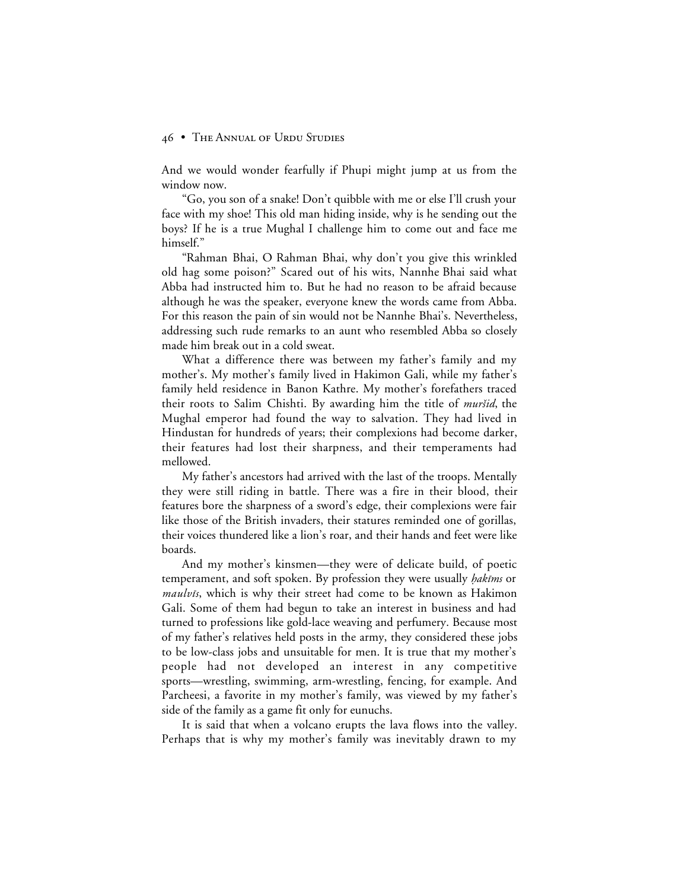And we would wonder fearfully if Phupi might jump at us from the window now.

"Go, you son of a snake! Don't quibble with me or else I'll crush your face with my shoe! This old man hiding inside, why is he sending out the boys? If he is a true Mughal I challenge him to come out and face me himself."

"Rahman Bhai, O Rahman Bhai, why don't you give this wrinkled old hag some poison?" Scared out of his wits, Nannhe Bhai said what Abba had instructed him to. But he had no reason to be afraid because although he was the speaker, everyone knew the words came from Abba. For this reason the pain of sin would not be Nannhe Bhai's. Nevertheless, addressing such rude remarks to an aunt who resembled Abba so closely made him break out in a cold sweat.

What a difference there was between my father's family and my mother's. My mother's family lived in Hakimon Gali, while my father's family held residence in Banon Kathre. My mother's forefathers traced their roots to Salim Chishti. By awarding him the title of *muršid*, the Mughal emperor had found the way to salvation. They had lived in Hindustan for hundreds of years; their complexions had become darker, their features had lost their sharpness, and their temperaments had mellowed.

My father's ancestors had arrived with the last of the troops. Mentally they were still riding in battle. There was a fire in their blood, their features bore the sharpness of a sword's edge, their complexions were fair like those of the British invaders, their statures reminded one of gorillas, their voices thundered like a lion's roar, and their hands and feet were like boards.

And my mother's kinsmen—they were of delicate build, of poetic temperament, and soft spoken. By profession they were usually *hakims* or maulvis, which is why their street had come to be known as Hakimon Gali. Some of them had begun to take an interest in business and had turned to professions like gold-lace weaving and perfumery. Because most of my father's relatives held posts in the army, they considered these jobs to be low-class jobs and unsuitable for men. It is true that my mother's people had not developed an interest in any competitive sports—wrestling, swimming, arm-wrestling, fencing, for example. And Parcheesi, a favorite in my mother's family, was viewed by my father's side of the family as a game fit only for eunuchs.

It is said that when a volcano erupts the lava flows into the valley. Perhaps that is why my mother's family was inevitably drawn to my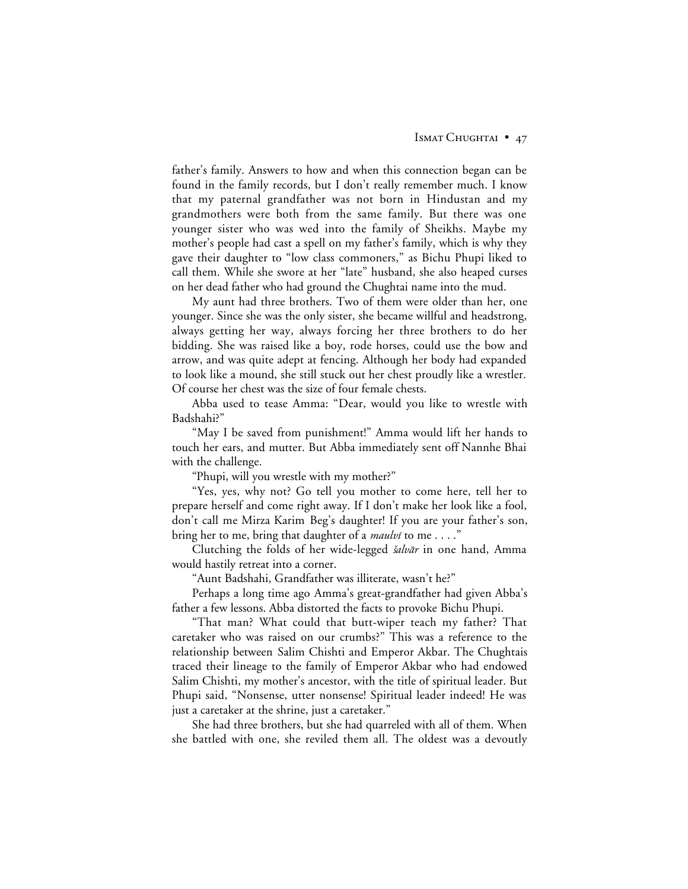### ISMAT CHUGHTAI • 47

father's family. Answers to how and when this connection began can be found in the family records, but I don't really remember much. I know that my paternal grandfather was not born in Hindustan and my grandmothers were both from the same family. But there was one younger sister who was wed into the family of Sheikhs. Maybe my mother's people had cast a spell on my father's family, which is why they gave their daughter to "low class commoners," as Bichu Phupi liked to call them. While she swore at her "late" husband, she also heaped curses on her dead father who had ground the Chughtai name into the mud.

My aunt had three brothers. Two of them were older than her, one younger. Since she was the only sister, she became willful and headstrong, always getting her way, always forcing her three brothers to do her bidding. She was raised like a boy, rode horses, could use the bow and arrow, and was quite adept at fencing. Although her body had expanded to look like a mound, she still stuck out her chest proudly like a wrestler. Of course her chest was the size of four female chests.

Abba used to tease Amma: "Dear, would you like to wrestle with Badshahi?"

"May I be saved from punishment!" Amma would lift her hands to touch her ears, and mutter. But Abba immediately sent off Nannhe Bhai with the challenge.

"Phupi, will you wrestle with my mother?"

"Yes, yes, why not? Go tell you mother to come here, tell her to prepare herself and come right away. If I don't make her look like a fool, don't call me Mirza Karim Beg's daughter! If you are your father's son, bring her to me, bring that daughter of a *maulvi* to me...."

Clutching the folds of her wide-legged šalvār in one hand, Amma would hastily retreat into a corner.

"Aunt Badshahi, Grandfather was illiterate, wasn't he?"

Perhaps a long time ago Amma's great-grandfather had given Abba's father a few lessons. Abba distorted the facts to provoke Bichu Phupi.

"That man? What could that butt-wiper teach my father? That caretaker who was raised on our crumbs?" This was a reference to the relationship between Salim Chishti and Emperor Akbar. The Chughtais traced their lineage to the family of Emperor Akbar who had endowed Salim Chishti, my mother's ancestor, with the title of spiritual leader. But Phupi said, "Nonsense, utter nonsense! Spiritual leader indeed! He was just a caretaker at the shrine, just a caretaker."

She had three brothers, but she had quarreled with all of them. When she battled with one, she reviled them all. The oldest was a devoutly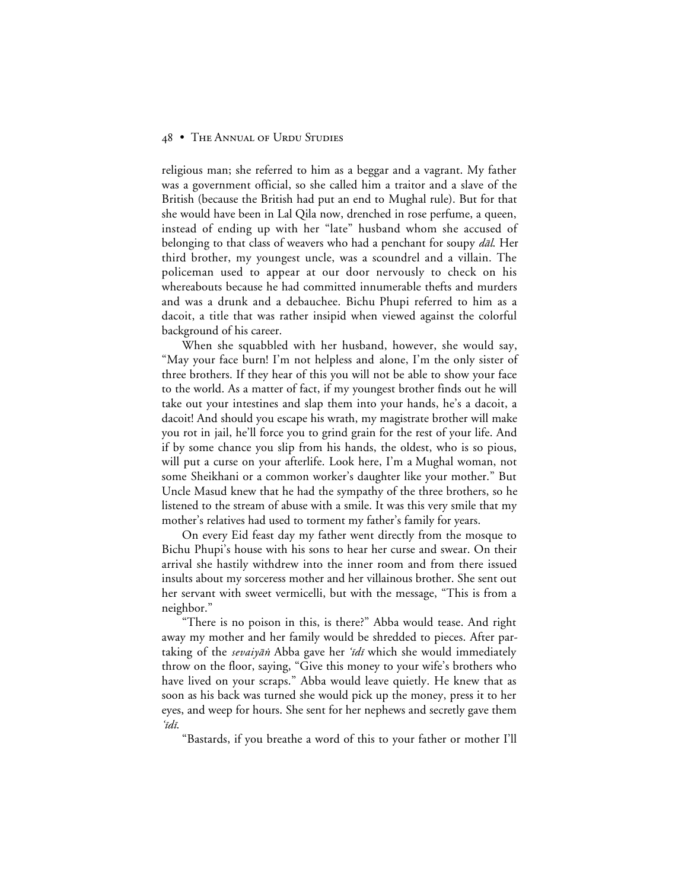religious man; she referred to him as a beggar and a vagrant. My father was a government official, so she called him a traitor and a slave of the British (because the British had put an end to Mughal rule). But for that she would have been in Lal Qila now, drenched in rose perfume, a queen, instead of ending up with her "late" husband whom she accused of belonging to that class of weavers who had a penchant for soupy dal. Her third brother, my youngest uncle, was a scoundrel and a villain. The policeman used to appear at our door nervously to check on his whereabouts because he had committed innumerable thefts and murders and was a drunk and a debauchee. Bichu Phupi referred to him as a dacoit, a title that was rather insipid when viewed against the colorful background of his career.

When she squabbled with her husband, however, she would say, "May your face burn! I'm not helpless and alone, I'm the only sister of three brothers. If they hear of this you will not be able to show your face to the world. As a matter of fact, if my youngest brother finds out he will take out your intestines and slap them into your hands, he's a dacoit, a dacoit! And should you escape his wrath, my magistrate brother will make you rot in jail, he'll force you to grind grain for the rest of your life. And if by some chance you slip from his hands, the oldest, who is so pious, will put a curse on your afterlife. Look here, I'm a Mughal woman, not some Sheikhani or a common worker's daughter like your mother." But Uncle Masud knew that he had the sympathy of the three brothers, so he listened to the stream of abuse with a smile. It was this very smile that my mother's relatives had used to torment my father's family for years.

On every Eid feast day my father went directly from the mosque to Bichu Phupi's house with his sons to hear her curse and swear. On their arrival she hastily withdrew into the inner room and from there issued insults about my sorceress mother and her villainous brother. She sent out her servant with sweet vermicelli, but with the message, "This is from a neighbor."

"There is no poison in this, is there?" Abba would tease. And right away my mother and her family would be shredded to pieces. After partaking of the *sevaiyān* Abba gave her '*idī* which she would immediately throw on the floor, saying, "Give this money to your wife's brothers who have lived on your scraps." Abba would leave quietly. He knew that as soon as his back was turned she would pick up the money, press it to her eyes, and weep for hours. She sent for her nephews and secretly gave them 'īdī.

"Bastards, if you breathe a word of this to your father or mother I'll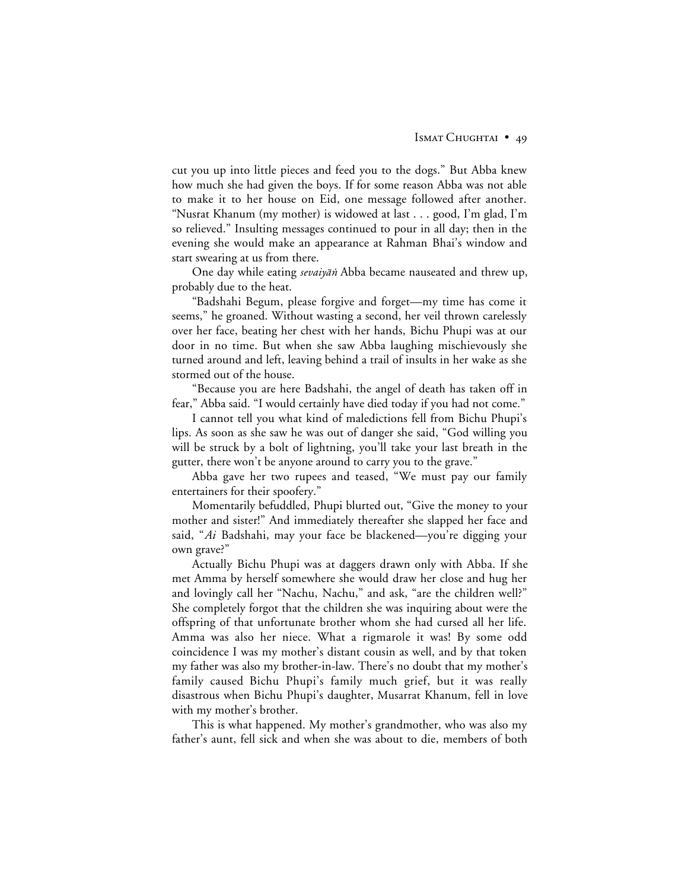cut you up into little pieces and feed you to the dogs." But Abba knew how much she had given the boys. If for some reason Abba was not able to make it to her house on Eid, one message followed after another. "Nusrat Khanum (my mother) is widowed at last . . . good, I'm glad, I'm so relieved." Insulting messages continued to pour in all day; then in the evening she would make an appearance at Rahman Bhai's window and start swearing at us from there.

One day while eating *sevaiyān* Abba became nauseated and threw up, probably due to the heat.

"Badshahi Begum, please forgive and forget—my time has come it seems," he groaned. Without wasting a second, her veil thrown carelessly over her face, beating her chest with her hands, Bichu Phupi was at our door in no time. But when she saw Abba laughing mischievously she turned around and left, leaving behind a trail of insults in her wake as she stormed out of the house.

"Because you are here Badshahi, the angel of death has taken off in fear," Abba said. "I would certainly have died today if you had not come."

I cannot tell you what kind of maledictions fell from Bichu Phupi's lips. As soon as she saw he was out of danger she said, "God willing you will be struck by a bolt of lightning, you'll take your last breath in the gutter, there won't be anyone around to carry you to the grave."

Abba gave her two rupees and teased, "We must pay our family entertainers for their spoofery."

Momentarily befuddled, Phupi blurted out, "Give the money to your mother and sister!" And immediately thereafter she slapped her face and said, "*Ai* Badshahi, may your face be blackened—you're digging your own grave?"

Actually Bichu Phupi was at daggers drawn only with Abba. If she met Amma by herself somewhere she would draw her close and hug her and lovingly call her "Nachu, Nachu," and ask, "are the children well?" She completely forgot that the children she was inquiring about were the offspring of that unfortunate brother whom she had cursed all her life. Amma was also her niece. What a rigmarole it was! By some odd coincidence I was my mother's distant cousin as well, and by that token my father was also my brother-in-law. There's no doubt that my mother's family caused Bichu Phupi's family much grief, but it was really disastrous when Bichu Phupi's daughter, Musarrat Khanum, fell in love with my mother's brother.

This is what happened. My mother's grandmother, who was also my father's aunt, fell sick and when she was about to die, members of both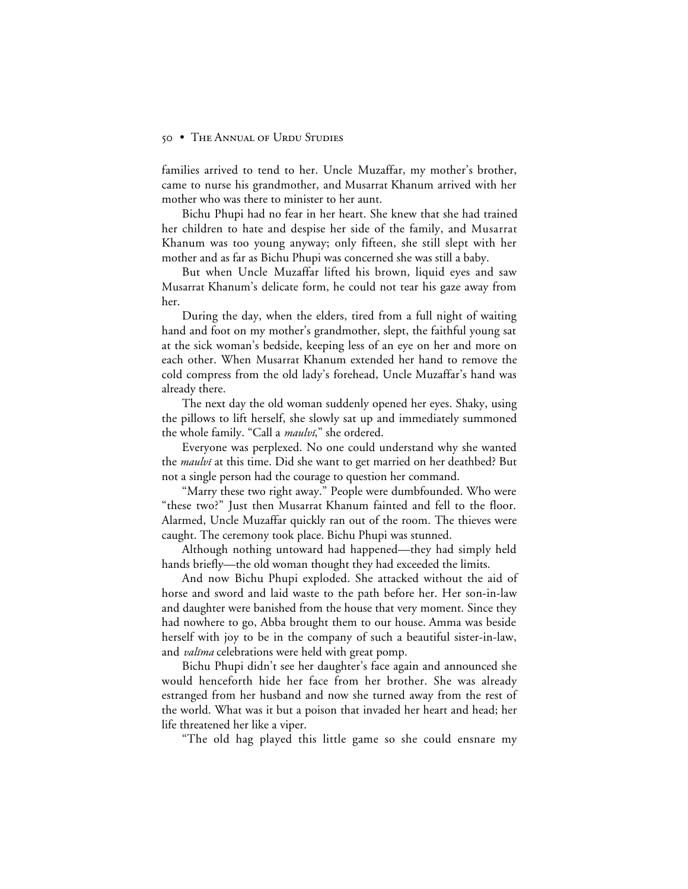families arrived to tend to her. Uncle Muzaffar, my mother's brother, came to nurse his grandmother, and Musarrat Khanum arrived with her mother who was there to minister to her aunt.

Bichu Phupi had no fear in her heart. She knew that she had trained her children to hate and despise her side of the family, and Musarrat Khanum was too young anyway; only fifteen, she still slept with her mother and as far as Bichu Phupi was concerned she was still a baby.

But when Uncle Muzaffar lifted his brown, liquid eyes and saw Musarrat Khanum's delicate form, he could not tear his gaze away from her.

During the day, when the elders, tired from a full night of waiting hand and foot on my mother's grandmother, slept, the faithful young sat at the sick woman's bedside, keeping less of an eye on her and more on each other. When Musarrat Khanum extended her hand to remove the cold compress from the old lady's forehead, Uncle Muzaffar's hand was already there.

The next day the old woman suddenly opened her eyes. Shaky, using the pillows to lift herself, she slowly sat up and immediately summoned the whole family. "Call a *maulvi*," she ordered.

Everyone was perplexed. No one could understand why she wanted the *maulvi* at this time. Did she want to get married on her deathbed? But not a single person had the courage to question her command.

"Marry these two right away." People were dumbfounded. Who were "these two?" Just then Musarrat Khanum fainted and fell to the floor. Alarmed, Uncle Muzaffar quickly ran out of the room. The thieves were caught. The ceremony took place. Bichu Phupi was stunned.

Although nothing untoward had happened—they had simply held hands briefly—the old woman thought they had exceeded the limits.

And now Bichu Phupi exploded. She attacked without the aid of horse and sword and laid waste to the path before her. Her son-in-law and daughter were banished from the house that very moment. Since they had nowhere to go, Abba brought them to our house. Amma was beside herself with joy to be in the company of such a beautiful sister-in-law, and *valima* celebrations were held with great pomp.

Bichu Phupi didn't see her daughter's face again and announced she would henceforth hide her face from her brother. She was already estranged from her husband and now she turned away from the rest of the world. What was it but a poison that invaded her heart and head; her life threatened her like a viper.

"The old hag played this little game so she could ensnare my